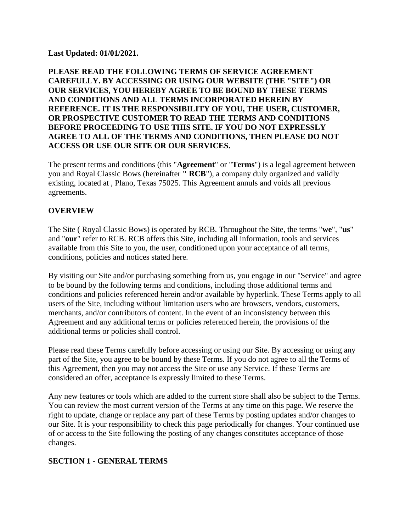#### **Last Updated: 01/01/2021.**

#### **PLEASE READ THE FOLLOWING TERMS OF SERVICE AGREEMENT CAREFULLY. BY ACCESSING OR USING OUR WEBSITE (THE "SITE") OR OUR SERVICES, YOU HEREBY AGREE TO BE BOUND BY THESE TERMS AND CONDITIONS AND ALL TERMS INCORPORATED HEREIN BY REFERENCE. IT IS THE RESPONSIBILITY OF YOU, THE USER, CUSTOMER, OR PROSPECTIVE CUSTOMER TO READ THE TERMS AND CONDITIONS BEFORE PROCEEDING TO USE THIS SITE. IF YOU DO NOT EXPRESSLY AGREE TO ALL OF THE TERMS AND CONDITIONS, THEN PLEASE DO NOT ACCESS OR USE OUR SITE OR OUR SERVICES.**

The present terms and conditions (this "**Agreement**" or "**Terms**") is a legal agreement between you and Royal Classic Bows (hereinafter **" RCB**"), a company duly organized and validly existing, located at , Plano, Texas 75025. This Agreement annuls and voids all previous agreements.

### **OVERVIEW**

The Site ( Royal Classic Bows) is operated by RCB. Throughout the Site, the terms "**we**", "**us**" and "**our**" refer to RCB. RCB offers this Site, including all information, tools and services available from this Site to you, the user, conditioned upon your acceptance of all terms, conditions, policies and notices stated here.

By visiting our Site and/or purchasing something from us, you engage in our "Service" and agree to be bound by the following terms and conditions, including those additional terms and conditions and policies referenced herein and/or available by hyperlink. These Terms apply to all users of the Site, including without limitation users who are browsers, vendors, customers, merchants, and/or contributors of content. In the event of an inconsistency between this Agreement and any additional terms or policies referenced herein, the provisions of the additional terms or policies shall control.

Please read these Terms carefully before accessing or using our Site. By accessing or using any part of the Site, you agree to be bound by these Terms. If you do not agree to all the Terms of this Agreement, then you may not access the Site or use any Service. If these Terms are considered an offer, acceptance is expressly limited to these Terms.

Any new features or tools which are added to the current store shall also be subject to the Terms. You can review the most current version of the Terms at any time on this page. We reserve the right to update, change or replace any part of these Terms by posting updates and/or changes to our Site. It is your responsibility to check this page periodically for changes. Your continued use of or access to the Site following the posting of any changes constitutes acceptance of those changes.

# **SECTION 1 - GENERAL TERMS**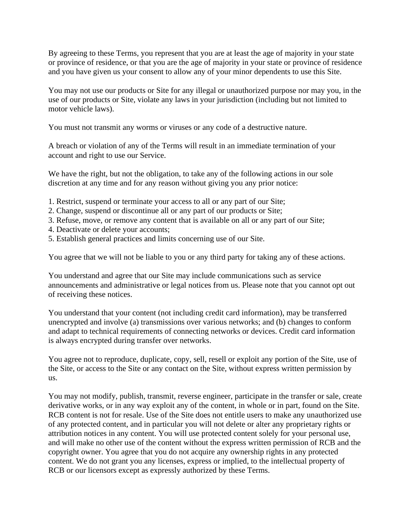By agreeing to these Terms, you represent that you are at least the age of majority in your state or province of residence, or that you are the age of majority in your state or province of residence and you have given us your consent to allow any of your minor dependents to use this Site.

You may not use our products or Site for any illegal or unauthorized purpose nor may you, in the use of our products or Site, violate any laws in your jurisdiction (including but not limited to motor vehicle laws).

You must not transmit any worms or viruses or any code of a destructive nature.

A breach or violation of any of the Terms will result in an immediate termination of your account and right to use our Service.

We have the right, but not the obligation, to take any of the following actions in our sole discretion at any time and for any reason without giving you any prior notice:

- 1. Restrict, suspend or terminate your access to all or any part of our Site;
- 2. Change, suspend or discontinue all or any part of our products or Site;
- 3. Refuse, move, or remove any content that is available on all or any part of our Site;
- 4. Deactivate or delete your accounts;
- 5. Establish general practices and limits concerning use of our Site.

You agree that we will not be liable to you or any third party for taking any of these actions.

You understand and agree that our Site may include communications such as service announcements and administrative or legal notices from us. Please note that you cannot opt out of receiving these notices.

You understand that your content (not including credit card information), may be transferred unencrypted and involve (a) transmissions over various networks; and (b) changes to conform and adapt to technical requirements of connecting networks or devices. Credit card information is always encrypted during transfer over networks.

You agree not to reproduce, duplicate, copy, sell, resell or exploit any portion of the Site, use of the Site, or access to the Site or any contact on the Site, without express written permission by us.

You may not modify, publish, transmit, reverse engineer, participate in the transfer or sale, create derivative works, or in any way exploit any of the content, in whole or in part, found on the Site. RCB content is not for resale. Use of the Site does not entitle users to make any unauthorized use of any protected content, and in particular you will not delete or alter any proprietary rights or attribution notices in any content. You will use protected content solely for your personal use, and will make no other use of the content without the express written permission of RCB and the copyright owner. You agree that you do not acquire any ownership rights in any protected content. We do not grant you any licenses, express or implied, to the intellectual property of RCB or our licensors except as expressly authorized by these Terms.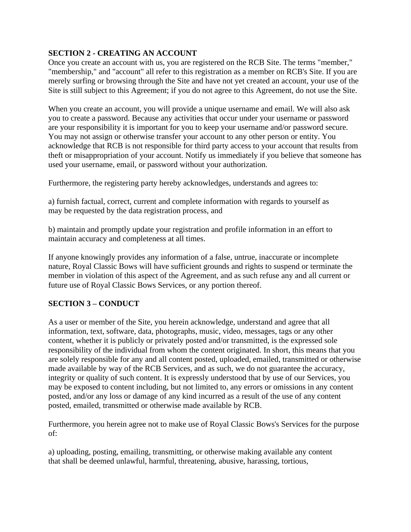## **SECTION 2 - CREATING AN ACCOUNT**

Once you create an account with us, you are registered on the RCB Site. The terms "member," "membership," and "account" all refer to this registration as a member on RCB's Site. If you are merely surfing or browsing through the Site and have not yet created an account, your use of the Site is still subject to this Agreement; if you do not agree to this Agreement, do not use the Site.

When you create an account, you will provide a unique username and email. We will also ask you to create a password. Because any activities that occur under your username or password are your responsibility it is important for you to keep your username and/or password secure. You may not assign or otherwise transfer your account to any other person or entity. You acknowledge that RCB is not responsible for third party access to your account that results from theft or misappropriation of your account. Notify us immediately if you believe that someone has used your username, email, or password without your authorization.

Furthermore, the registering party hereby acknowledges, understands and agrees to:

a) furnish factual, correct, current and complete information with regards to yourself as may be requested by the data registration process, and

b) maintain and promptly update your registration and profile information in an effort to maintain accuracy and completeness at all times.

If anyone knowingly provides any information of a false, untrue, inaccurate or incomplete nature, Royal Classic Bows will have sufficient grounds and rights to suspend or terminate the member in violation of this aspect of the Agreement, and as such refuse any and all current or future use of Royal Classic Bows Services, or any portion thereof.

### **SECTION 3 – CONDUCT**

As a user or member of the Site, you herein acknowledge, understand and agree that all information, text, software, data, photographs, music, video, messages, tags or any other content, whether it is publicly or privately posted and/or transmitted, is the expressed sole responsibility of the individual from whom the content originated. In short, this means that you are solely responsible for any and all content posted, uploaded, emailed, transmitted or otherwise made available by way of the RCB Services, and as such, we do not guarantee the accuracy, integrity or quality of such content. It is expressly understood that by use of our Services, you may be exposed to content including, but not limited to, any errors or omissions in any content posted, and/or any loss or damage of any kind incurred as a result of the use of any content posted, emailed, transmitted or otherwise made available by RCB.

Furthermore, you herein agree not to make use of Royal Classic Bows's Services for the purpose of:

a) uploading, posting, emailing, transmitting, or otherwise making available any content that shall be deemed unlawful, harmful, threatening, abusive, harassing, tortious,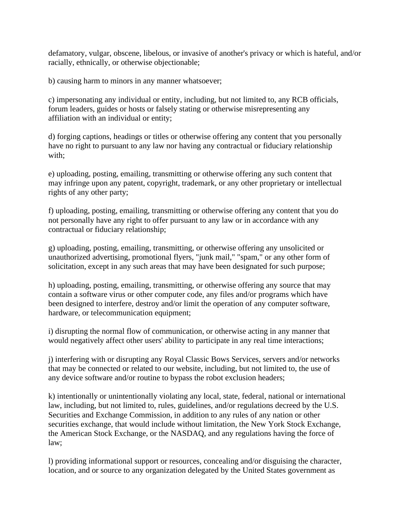defamatory, vulgar, obscene, libelous, or invasive of another's privacy or which is hateful, and/or racially, ethnically, or otherwise objectionable;

b) causing harm to minors in any manner whatsoever;

c) impersonating any individual or entity, including, but not limited to, any RCB officials, forum leaders, guides or hosts or falsely stating or otherwise misrepresenting any affiliation with an individual or entity;

d) forging captions, headings or titles or otherwise offering any content that you personally have no right to pursuant to any law nor having any contractual or fiduciary relationship with;

e) uploading, posting, emailing, transmitting or otherwise offering any such content that may infringe upon any patent, copyright, trademark, or any other proprietary or intellectual rights of any other party;

f) uploading, posting, emailing, transmitting or otherwise offering any content that you do not personally have any right to offer pursuant to any law or in accordance with any contractual or fiduciary relationship;

g) uploading, posting, emailing, transmitting, or otherwise offering any unsolicited or unauthorized advertising, promotional flyers, "junk mail," "spam," or any other form of solicitation, except in any such areas that may have been designated for such purpose;

h) uploading, posting, emailing, transmitting, or otherwise offering any source that may contain a software virus or other computer code, any files and/or programs which have been designed to interfere, destroy and/or limit the operation of any computer software, hardware, or telecommunication equipment;

i) disrupting the normal flow of communication, or otherwise acting in any manner that would negatively affect other users' ability to participate in any real time interactions;

j) interfering with or disrupting any Royal Classic Bows Services, servers and/or networks that may be connected or related to our website, including, but not limited to, the use of any device software and/or routine to bypass the robot exclusion headers;

k) intentionally or unintentionally violating any local, state, federal, national or international law, including, but not limited to, rules, guidelines, and/or regulations decreed by the U.S. Securities and Exchange Commission, in addition to any rules of any nation or other securities exchange, that would include without limitation, the New York Stock Exchange, the American Stock Exchange, or the NASDAQ, and any regulations having the force of law;

l) providing informational support or resources, concealing and/or disguising the character, location, and or source to any organization delegated by the United States government as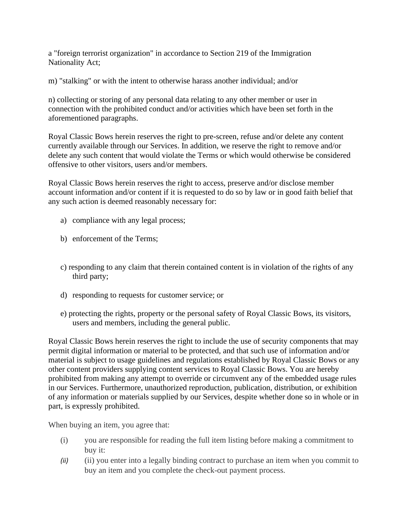a "foreign terrorist organization" in accordance to Section 219 of the Immigration Nationality Act;

m) "stalking" or with the intent to otherwise harass another individual; and/or

n) collecting or storing of any personal data relating to any other member or user in connection with the prohibited conduct and/or activities which have been set forth in the aforementioned paragraphs.

Royal Classic Bows herein reserves the right to pre-screen, refuse and/or delete any content currently available through our Services. In addition, we reserve the right to remove and/or delete any such content that would violate the Terms or which would otherwise be considered offensive to other visitors, users and/or members.

Royal Classic Bows herein reserves the right to access, preserve and/or disclose member account information and/or content if it is requested to do so by law or in good faith belief that any such action is deemed reasonably necessary for:

- a) compliance with any legal process;
- b) enforcement of the Terms;
- c) responding to any claim that therein contained content is in violation of the rights of any third party;
- d) responding to requests for customer service; or
- e) protecting the rights, property or the personal safety of Royal Classic Bows, its visitors, users and members, including the general public.

Royal Classic Bows herein reserves the right to include the use of security components that may permit digital information or material to be protected, and that such use of information and/or material is subject to usage guidelines and regulations established by Royal Classic Bows or any other content providers supplying content services to Royal Classic Bows. You are hereby prohibited from making any attempt to override or circumvent any of the embedded usage rules in our Services. Furthermore, unauthorized reproduction, publication, distribution, or exhibition of any information or materials supplied by our Services, despite whether done so in whole or in part, is expressly prohibited.

When buying an item, you agree that:

- (i) you are responsible for reading the full item listing before making a commitment to buy it:
- *(ii)* (ii) you enter into a legally binding contract to purchase an item when you commit to buy an item and you complete the check-out payment process.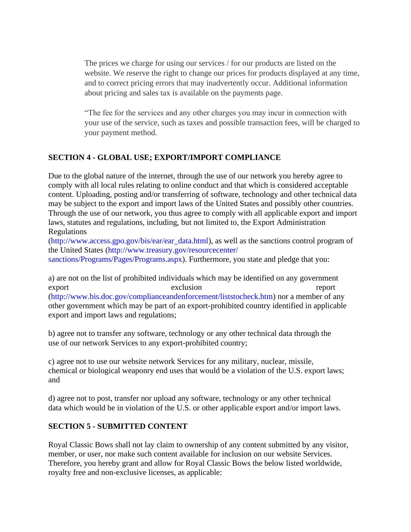The prices we charge for using our services / for our products are listed on the website. We reserve the right to change our prices for products displayed at any time, and to correct pricing errors that may inadvertently occur. Additional information about pricing and sales tax is available on the payments page.

"The fee for the services and any other charges you may incur in connection with your use of the service, such as taxes and possible transaction fees, will be charged to your payment method.

#### **SECTION 4 - GLOBAL USE; EXPORT/IMPORT COMPLIANCE**

Due to the global nature of the internet, through the use of our network you hereby agree to comply with all local rules relating to online conduct and that which is considered acceptable content. Uploading, posting and/or transferring of software, technology and other technical data may be subject to the export and import laws of the United States and possibly other countries. Through the use of our network, you thus agree to comply with all applicable export and import laws, statutes and regulations, including, but not limited to, the Export Administration Regulations

(http://www.access.gpo.gov/bis/ear/ear\_data.html), as well as the sanctions control program of the United States (http://www.treasury.gov/resourcecenter/

sanctions/Programs/Pages/Programs.aspx). Furthermore, you state and pledge that you:

a) are not on the list of prohibited individuals which may be identified on any government export exclusion exclusion report (http://www.bis.doc.gov/complianceandenforcement/liststocheck.htm) nor a member of any other government which may be part of an export-prohibited country identified in applicable export and import laws and regulations;

b) agree not to transfer any software, technology or any other technical data through the use of our network Services to any export-prohibited country;

c) agree not to use our website network Services for any military, nuclear, missile, chemical or biological weaponry end uses that would be a violation of the U.S. export laws; and

d) agree not to post, transfer nor upload any software, technology or any other technical data which would be in violation of the U.S. or other applicable export and/or import laws.

### **SECTION 5 - SUBMITTED CONTENT**

Royal Classic Bows shall not lay claim to ownership of any content submitted by any visitor, member, or user, nor make such content available for inclusion on our website Services. Therefore, you hereby grant and allow for Royal Classic Bows the below listed worldwide, royalty free and non-exclusive licenses, as applicable: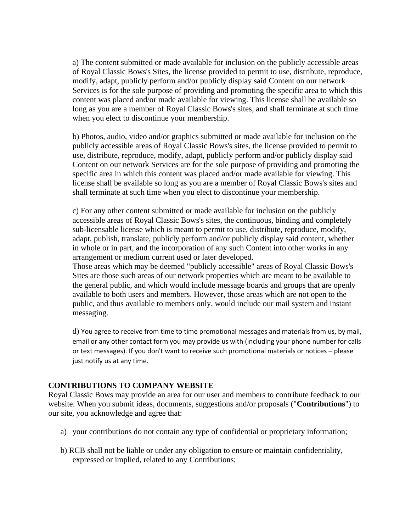a) The content submitted or made available for inclusion on the publicly accessible areas of Royal Classic Bows's Sites, the license provided to permit to use, distribute, reproduce, modify, adapt, publicly perform and/or publicly display said Content on our network Services is for the sole purpose of providing and promoting the specific area to which this content was placed and/or made available for viewing. This license shall be available so long as you are a member of Royal Classic Bows's sites, and shall terminate at such time when you elect to discontinue your membership.

b) Photos, audio, video and/or graphics submitted or made available for inclusion on the publicly accessible areas of Royal Classic Bows's sites, the license provided to permit to use, distribute, reproduce, modify, adapt, publicly perform and/or publicly display said Content on our network Services are for the sole purpose of providing and promoting the specific area in which this content was placed and/or made available for viewing. This license shall be available so long as you are a member of Royal Classic Bows's sites and shall terminate at such time when you elect to discontinue your membership.

c) For any other content submitted or made available for inclusion on the publicly accessible areas of Royal Classic Bows's sites, the continuous, binding and completely sub-licensable license which is meant to permit to use, distribute, reproduce, modify, adapt, publish, translate, publicly perform and/or publicly display said content, whether in whole or in part, and the incorporation of any such Content into other works in any arrangement or medium current used or later developed.

Those areas which may be deemed "publicly accessible" areas of Royal Classic Bows's Sites are those such areas of our network properties which are meant to be available to the general public, and which would include message boards and groups that are openly available to both users and members. However, those areas which are not open to the public, and thus available to members only, would include our mail system and instant messaging.

d) You agree to receive from time to time promotional messages and materials from us, by mail, email or any other contact form you may provide us with (including your phone number for calls or text messages). If you don't want to receive such promotional materials or notices – please just notify us at any time.

#### **CONTRIBUTIONS TO COMPANY WEBSITE**

Royal Classic Bows may provide an area for our user and members to contribute feedback to our website. When you submit ideas, documents, suggestions and/or proposals ("**Contributions**") to our site, you acknowledge and agree that:

- a) your contributions do not contain any type of confidential or proprietary information;
- b) RCB shall not be liable or under any obligation to ensure or maintain confidentiality, expressed or implied, related to any Contributions;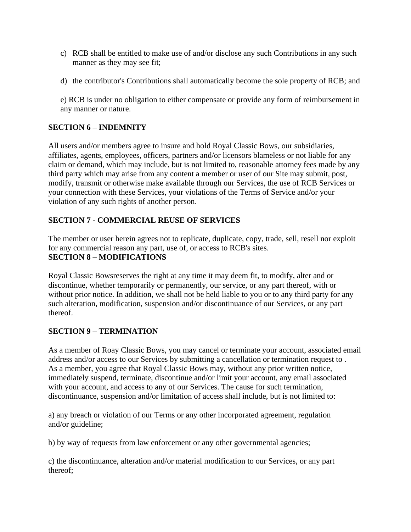- c) RCB shall be entitled to make use of and/or disclose any such Contributions in any such manner as they may see fit;
- d) the contributor's Contributions shall automatically become the sole property of RCB; and

e) RCB is under no obligation to either compensate or provide any form of reimbursement in any manner or nature.

### **SECTION 6 – INDEMNITY**

All users and/or members agree to insure and hold Royal Classic Bows, our subsidiaries, affiliates, agents, employees, officers, partners and/or licensors blameless or not liable for any claim or demand, which may include, but is not limited to, reasonable attorney fees made by any third party which may arise from any content a member or user of our Site may submit, post, modify, transmit or otherwise make available through our Services, the use of RCB Services or your connection with these Services, your violations of the Terms of Service and/or your violation of any such rights of another person.

### **SECTION 7 - COMMERCIAL REUSE OF SERVICES**

The member or user herein agrees not to replicate, duplicate, copy, trade, sell, resell nor exploit for any commercial reason any part, use of, or access to RCB's sites. **SECTION 8 – MODIFICATIONS**

Royal Classic Bowsreserves the right at any time it may deem fit, to modify, alter and or discontinue, whether temporarily or permanently, our service, or any part thereof, with or without prior notice. In addition, we shall not be held liable to you or to any third party for any such alteration, modification, suspension and/or discontinuance of our Services, or any part thereof.

### **SECTION 9 – TERMINATION**

As a member of Roay Classic Bows, you may cancel or terminate your account, associated email address and/or access to our Services by submitting a cancellation or termination request to . As a member, you agree that Royal Classic Bows may, without any prior written notice, immediately suspend, terminate, discontinue and/or limit your account, any email associated with your account, and access to any of our Services. The cause for such termination, discontinuance, suspension and/or limitation of access shall include, but is not limited to:

a) any breach or violation of our Terms or any other incorporated agreement, regulation and/or guideline;

b) by way of requests from law enforcement or any other governmental agencies;

c) the discontinuance, alteration and/or material modification to our Services, or any part thereof;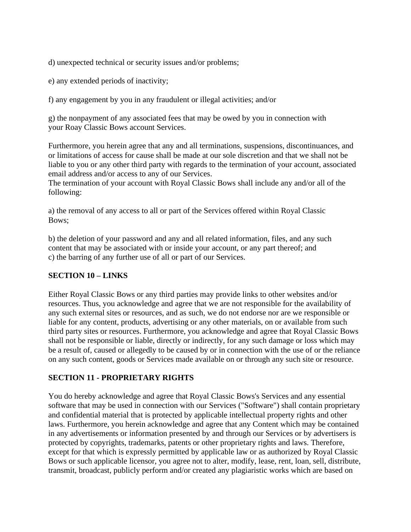d) unexpected technical or security issues and/or problems;

e) any extended periods of inactivity;

f) any engagement by you in any fraudulent or illegal activities; and/or

g) the nonpayment of any associated fees that may be owed by you in connection with your Roay Classic Bows account Services.

Furthermore, you herein agree that any and all terminations, suspensions, discontinuances, and or limitations of access for cause shall be made at our sole discretion and that we shall not be liable to you or any other third party with regards to the termination of your account, associated email address and/or access to any of our Services.

The termination of your account with Royal Classic Bows shall include any and/or all of the following:

a) the removal of any access to all or part of the Services offered within Royal Classic Bows;

b) the deletion of your password and any and all related information, files, and any such content that may be associated with or inside your account, or any part thereof; and c) the barring of any further use of all or part of our Services.

### **SECTION 10 – LINKS**

Either Royal Classic Bows or any third parties may provide links to other websites and/or resources. Thus, you acknowledge and agree that we are not responsible for the availability of any such external sites or resources, and as such, we do not endorse nor are we responsible or liable for any content, products, advertising or any other materials, on or available from such third party sites or resources. Furthermore, you acknowledge and agree that Royal Classic Bows shall not be responsible or liable, directly or indirectly, for any such damage or loss which may be a result of, caused or allegedly to be caused by or in connection with the use of or the reliance on any such content, goods or Services made available on or through any such site or resource.

### **SECTION 11 - PROPRIETARY RIGHTS**

You do hereby acknowledge and agree that Royal Classic Bows's Services and any essential software that may be used in connection with our Services ("Software") shall contain proprietary and confidential material that is protected by applicable intellectual property rights and other laws. Furthermore, you herein acknowledge and agree that any Content which may be contained in any advertisements or information presented by and through our Services or by advertisers is protected by copyrights, trademarks, patents or other proprietary rights and laws. Therefore, except for that which is expressly permitted by applicable law or as authorized by Royal Classic Bows or such applicable licensor, you agree not to alter, modify, lease, rent, loan, sell, distribute, transmit, broadcast, publicly perform and/or created any plagiaristic works which are based on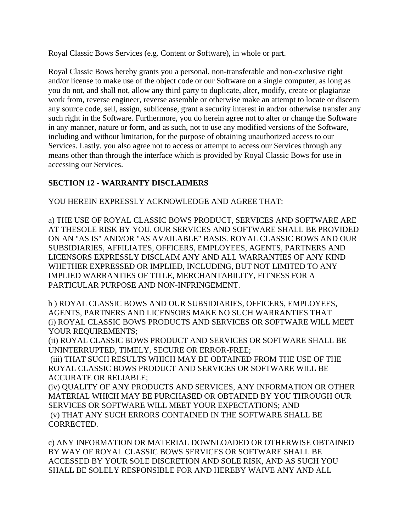Royal Classic Bows Services (e.g. Content or Software), in whole or part.

Royal Classic Bows hereby grants you a personal, non-transferable and non-exclusive right and/or license to make use of the object code or our Software on a single computer, as long as you do not, and shall not, allow any third party to duplicate, alter, modify, create or plagiarize work from, reverse engineer, reverse assemble or otherwise make an attempt to locate or discern any source code, sell, assign, sublicense, grant a security interest in and/or otherwise transfer any such right in the Software. Furthermore, you do herein agree not to alter or change the Software in any manner, nature or form, and as such, not to use any modified versions of the Software, including and without limitation, for the purpose of obtaining unauthorized access to our Services. Lastly, you also agree not to access or attempt to access our Services through any means other than through the interface which is provided by Royal Classic Bows for use in accessing our Services.

## **SECTION 12 - WARRANTY DISCLAIMERS**

YOU HEREIN EXPRESSLY ACKNOWLEDGE AND AGREE THAT:

a) THE USE OF ROYAL CLASSIC BOWS PRODUCT, SERVICES AND SOFTWARE ARE AT THESOLE RISK BY YOU. OUR SERVICES AND SOFTWARE SHALL BE PROVIDED ON AN "AS IS" AND/OR "AS AVAILABLE" BASIS. ROYAL CLASSIC BOWS AND OUR SUBSIDIARIES, AFFILIATES, OFFICERS, EMPLOYEES, AGENTS, PARTNERS AND LICENSORS EXPRESSLY DISCLAIM ANY AND ALL WARRANTIES OF ANY KIND WHETHER EXPRESSED OR IMPLIED, INCLUDING, BUT NOT LIMITED TO ANY IMPLIED WARRANTIES OF TITLE, MERCHANTABILITY, FITNESS FOR A PARTICULAR PURPOSE AND NON-INFRINGEMENT.

b ) ROYAL CLASSIC BOWS AND OUR SUBSIDIARIES, OFFICERS, EMPLOYEES, AGENTS, PARTNERS AND LICENSORS MAKE NO SUCH WARRANTIES THAT (i) ROYAL CLASSIC BOWS PRODUCTS AND SERVICES OR SOFTWARE WILL MEET YOUR REQUIREMENTS;

(ii) ROYAL CLASSIC BOWS PRODUCT AND SERVICES OR SOFTWARE SHALL BE UNINTERRUPTED, TIMELY, SECURE OR ERROR-FREE;

(iii) THAT SUCH RESULTS WHICH MAY BE OBTAINED FROM THE USE OF THE ROYAL CLASSIC BOWS PRODUCT AND SERVICES OR SOFTWARE WILL BE ACCURATE OR RELIABLE;

(iv) QUALITY OF ANY PRODUCTS AND SERVICES, ANY INFORMATION OR OTHER MATERIAL WHICH MAY BE PURCHASED OR OBTAINED BY YOU THROUGH OUR SERVICES OR SOFTWARE WILL MEET YOUR EXPECTATIONS; AND (v) THAT ANY SUCH ERRORS CONTAINED IN THE SOFTWARE SHALL BE CORRECTED.

c) ANY INFORMATION OR MATERIAL DOWNLOADED OR OTHERWISE OBTAINED BY WAY OF ROYAL CLASSIC BOWS SERVICES OR SOFTWARE SHALL BE ACCESSED BY YOUR SOLE DISCRETION AND SOLE RISK, AND AS SUCH YOU SHALL BE SOLELY RESPONSIBLE FOR AND HEREBY WAIVE ANY AND ALL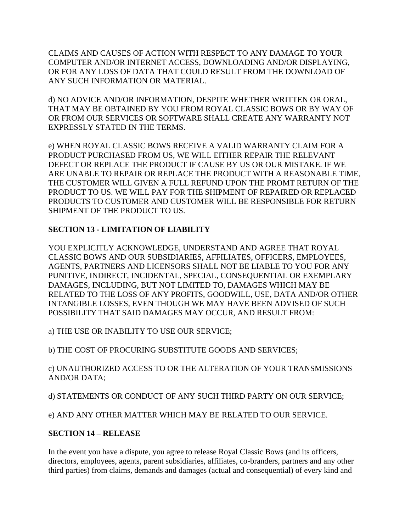CLAIMS AND CAUSES OF ACTION WITH RESPECT TO ANY DAMAGE TO YOUR COMPUTER AND/OR INTERNET ACCESS, DOWNLOADING AND/OR DISPLAYING, OR FOR ANY LOSS OF DATA THAT COULD RESULT FROM THE DOWNLOAD OF ANY SUCH INFORMATION OR MATERIAL.

d) NO ADVICE AND/OR INFORMATION, DESPITE WHETHER WRITTEN OR ORAL, THAT MAY BE OBTAINED BY YOU FROM ROYAL CLASSIC BOWS OR BY WAY OF OR FROM OUR SERVICES OR SOFTWARE SHALL CREATE ANY WARRANTY NOT EXPRESSLY STATED IN THE TERMS.

e) WHEN ROYAL CLASSIC BOWS RECEIVE A VALID WARRANTY CLAIM FOR A PRODUCT PURCHASED FROM US, WE WILL EITHER REPAIR THE RELEVANT DEFECT OR REPLACE THE PRODUCT IF CAUSE BY US OR OUR MISTAKE. IF WE ARE UNABLE TO REPAIR OR REPLACE THE PRODUCT WITH A REASONABLE TIME, THE CUSTOMER WILL GIVEN A FULL REFUND UPON THE PROMT RETURN OF THE PRODUCT TO US. WE WILL PAY FOR THE SHIPMENT OF REPAIRED OR REPLACED PRODUCTS TO CUSTOMER AND CUSTOMER WILL BE RESPONSIBLE FOR RETURN SHIPMENT OF THE PRODUCT TO US.

## **SECTION 13 - LIMITATION OF LIABILITY**

YOU EXPLICITLY ACKNOWLEDGE, UNDERSTAND AND AGREE THAT ROYAL CLASSIC BOWS AND OUR SUBSIDIARIES, AFFILIATES, OFFICERS, EMPLOYEES, AGENTS, PARTNERS AND LICENSORS SHALL NOT BE LIABLE TO YOU FOR ANY PUNITIVE, INDIRECT, INCIDENTAL, SPECIAL, CONSEQUENTIAL OR EXEMPLARY DAMAGES, INCLUDING, BUT NOT LIMITED TO, DAMAGES WHICH MAY BE RELATED TO THE LOSS OF ANY PROFITS, GOODWILL, USE, DATA AND/OR OTHER INTANGIBLE LOSSES, EVEN THOUGH WE MAY HAVE BEEN ADVISED OF SUCH POSSIBILITY THAT SAID DAMAGES MAY OCCUR, AND RESULT FROM:

a) THE USE OR INABILITY TO USE OUR SERVICE;

b) THE COST OF PROCURING SUBSTITUTE GOODS AND SERVICES;

c) UNAUTHORIZED ACCESS TO OR THE ALTERATION OF YOUR TRANSMISSIONS AND/OR DATA;

d) STATEMENTS OR CONDUCT OF ANY SUCH THIRD PARTY ON OUR SERVICE;

e) AND ANY OTHER MATTER WHICH MAY BE RELATED TO OUR SERVICE.

### **SECTION 14 – RELEASE**

In the event you have a dispute, you agree to release Royal Classic Bows (and its officers, directors, employees, agents, parent subsidiaries, affiliates, co-branders, partners and any other third parties) from claims, demands and damages (actual and consequential) of every kind and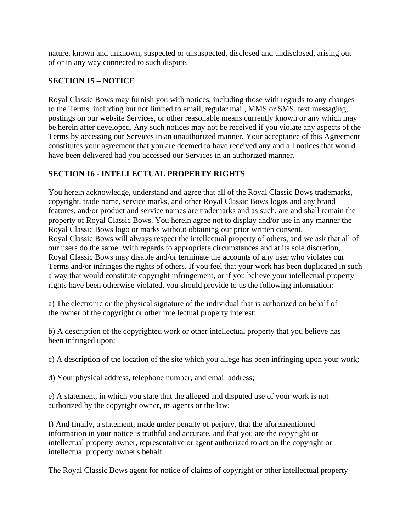nature, known and unknown, suspected or unsuspected, disclosed and undisclosed, arising out of or in any way connected to such dispute.

# **SECTION 15 – NOTICE**

Royal Classic Bows may furnish you with notices, including those with regards to any changes to the Terms, including but not limited to email, regular mail, MMS or SMS, text messaging, postings on our website Services, or other reasonable means currently known or any which may be herein after developed. Any such notices may not be received if you violate any aspects of the Terms by accessing our Services in an unauthorized manner. Your acceptance of this Agreement constitutes your agreement that you are deemed to have received any and all notices that would have been delivered had you accessed our Services in an authorized manner.

# **SECTION 16 - INTELLECTUAL PROPERTY RIGHTS**

You herein acknowledge, understand and agree that all of the Royal Classic Bows trademarks, copyright, trade name, service marks, and other Royal Classic Bows logos and any brand features, and/or product and service names are trademarks and as such, are and shall remain the property of Royal Classic Bows. You herein agree not to display and/or use in any manner the Royal Classic Bows logo or marks without obtaining our prior written consent. Royal Classic Bows will always respect the intellectual property of others, and we ask that all of our users do the same. With regards to appropriate circumstances and at its sole discretion, Royal Classic Bows may disable and/or terminate the accounts of any user who violates our Terms and/or infringes the rights of others. If you feel that your work has been duplicated in such a way that would constitute copyright infringement, or if you believe your intellectual property rights have been otherwise violated, you should provide to us the following information:

a) The electronic or the physical signature of the individual that is authorized on behalf of the owner of the copyright or other intellectual property interest;

b) A description of the copyrighted work or other intellectual property that you believe has been infringed upon;

c) A description of the location of the site which you allege has been infringing upon your work;

d) Your physical address, telephone number, and email address;

e) A statement, in which you state that the alleged and disputed use of your work is not authorized by the copyright owner, its agents or the law;

f) And finally, a statement, made under penalty of perjury, that the aforementioned information in your notice is truthful and accurate, and that you are the copyright or intellectual property owner, representative or agent authorized to act on the copyright or intellectual property owner's behalf.

The Royal Classic Bows agent for notice of claims of copyright or other intellectual property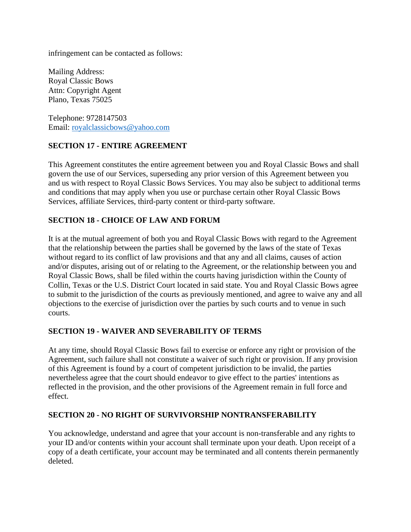infringement can be contacted as follows:

Mailing Address: Royal Classic Bows Attn: Copyright Agent Plano, Texas 75025

Telephone: 9728147503 Email: [royalclassicbows@yahoo.com](mailto:royalclassicbows@yahoo.com)

## **SECTION 17 - ENTIRE AGREEMENT**

This Agreement constitutes the entire agreement between you and Royal Classic Bows and shall govern the use of our Services, superseding any prior version of this Agreement between you and us with respect to Royal Classic Bows Services. You may also be subject to additional terms and conditions that may apply when you use or purchase certain other Royal Classic Bows Services, affiliate Services, third-party content or third-party software.

## **SECTION 18 - CHOICE OF LAW AND FORUM**

It is at the mutual agreement of both you and Royal Classic Bows with regard to the Agreement that the relationship between the parties shall be governed by the laws of the state of Texas without regard to its conflict of law provisions and that any and all claims, causes of action and/or disputes, arising out of or relating to the Agreement, or the relationship between you and Royal Classic Bows, shall be filed within the courts having jurisdiction within the County of Collin, Texas or the U.S. District Court located in said state. You and Royal Classic Bows agree to submit to the jurisdiction of the courts as previously mentioned, and agree to waive any and all objections to the exercise of jurisdiction over the parties by such courts and to venue in such courts.

### **SECTION 19 - WAIVER AND SEVERABILITY OF TERMS**

At any time, should Royal Classic Bows fail to exercise or enforce any right or provision of the Agreement, such failure shall not constitute a waiver of such right or provision. If any provision of this Agreement is found by a court of competent jurisdiction to be invalid, the parties nevertheless agree that the court should endeavor to give effect to the parties' intentions as reflected in the provision, and the other provisions of the Agreement remain in full force and effect.

### **SECTION 20 - NO RIGHT OF SURVIVORSHIP NONTRANSFERABILITY**

You acknowledge, understand and agree that your account is non-transferable and any rights to your ID and/or contents within your account shall terminate upon your death. Upon receipt of a copy of a death certificate, your account may be terminated and all contents therein permanently deleted.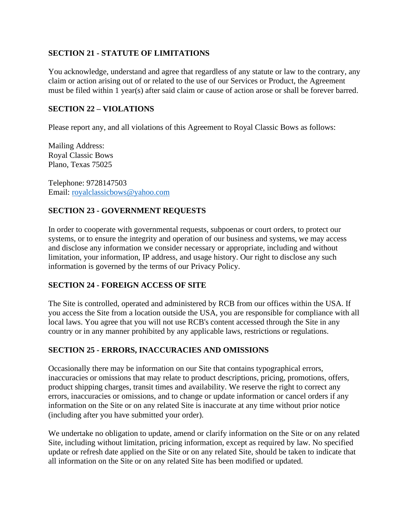### **SECTION 21 - STATUTE OF LIMITATIONS**

You acknowledge, understand and agree that regardless of any statute or law to the contrary, any claim or action arising out of or related to the use of our Services or Product, the Agreement must be filed within 1 year(s) after said claim or cause of action arose or shall be forever barred.

### **SECTION 22 – VIOLATIONS**

Please report any, and all violations of this Agreement to Royal Classic Bows as follows:

Mailing Address: Royal Classic Bows Plano, Texas 75025

Telephone: 9728147503 Email: [royalclassicbows@yahoo.com](mailto:royalclassicbows@yahoo.com)

### **SECTION 23 - GOVERNMENT REQUESTS**

In order to cooperate with governmental requests, subpoenas or court orders, to protect our systems, or to ensure the integrity and operation of our business and systems, we may access and disclose any information we consider necessary or appropriate, including and without limitation, your information, IP address, and usage history. Our right to disclose any such information is governed by the terms of our Privacy Policy.

### **SECTION 24 - FOREIGN ACCESS OF SITE**

The Site is controlled, operated and administered by RCB from our offices within the USA. If you access the Site from a location outside the USA, you are responsible for compliance with all local laws. You agree that you will not use RCB's content accessed through the Site in any country or in any manner prohibited by any applicable laws, restrictions or regulations.

### **SECTION 25 - ERRORS, INACCURACIES AND OMISSIONS**

Occasionally there may be information on our Site that contains typographical errors, inaccuracies or omissions that may relate to product descriptions, pricing, promotions, offers, product shipping charges, transit times and availability. We reserve the right to correct any errors, inaccuracies or omissions, and to change or update information or cancel orders if any information on the Site or on any related Site is inaccurate at any time without prior notice (including after you have submitted your order).

We undertake no obligation to update, amend or clarify information on the Site or on any related Site, including without limitation, pricing information, except as required by law. No specified update or refresh date applied on the Site or on any related Site, should be taken to indicate that all information on the Site or on any related Site has been modified or updated.